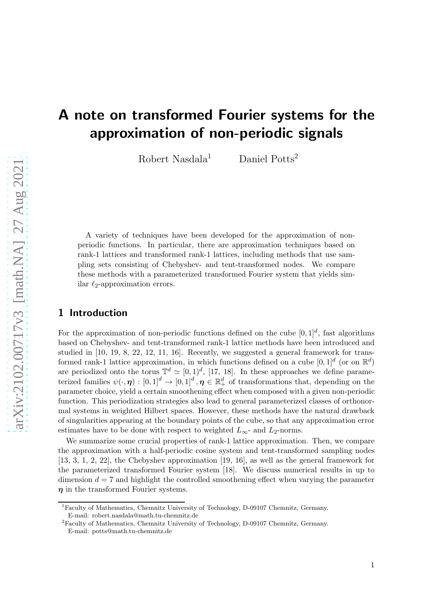# A note on transformed Fourier systems for the approximation of non-periodic signals

Robert Nasdala<sup>1</sup> Daniel Potts<sup>2</sup>

A variety of techniques have been developed for the approximation of nonperiodic functions. In particular, there are approximation techniques based on rank-1 lattices and transformed rank-1 lattices, including methods that use sampling sets consisting of Chebyshev- and tent-transformed nodes. We compare these methods with a parameterized transformed Fourier system that yields similar  $\ell_2$ -approximation errors.

## 1 Introduction

For the approximation of non-periodic functions defined on the cube  $[0,1]^d$ , fast algorithms based on Chebyshev- and tent-transformed rank-1 lattice methods have been introduced and studied in [\[10, 19, 8, 22, 12, 11, 16\]](#page-15-0). Recently, we suggested a general framework for transformed rank-1 lattice approximation, in which functions defined on a cube  $[0,1]^d$  (or on  $\mathbb{R}^d$ ) are periodized onto the torus  $\mathbb{T}^d \simeq [0,1)^d$ , [\[17, 18\]](#page-15-0). In these approaches we define parameterized families  $\psi(\cdot,\eta) : [0,1]^d \to [0,1]^d$ ,  $\eta \in \mathbb{R}^d_+$  of transformations that, depending on the parameter choice, yield a certain smoothening effect when composed with a given non-periodic function. This periodization strategies also lead to general parameterized classes of orthonormal systems in weighted Hilbert spaces. However, these methods have the natural drawback of singularities appearing at the boundary points of the cube, so that any approximation error estimates have to be done with respect to weighted  $L_{\infty}$ - and  $L_2$ -norms.

We summarize some crucial properties of rank-1 lattice approximation. Then, we compare the approximation with a half-periodic cosine system and tent-transformed sampling nodes [\[13,](#page-15-0) [3, 1, 2,](#page-14-0) [22\]](#page-15-0), the Chebyshev approximation [\[19, 16\]](#page-15-0), as well as the general framework for the parameterized transformed Fourier system [\[18\]](#page-15-0). We discuss numerical results in up to dimension  $d = 7$  and highlight the controlled smoothening effect when varying the parameter  $\eta$  in the transformed Fourier systems.

<sup>1</sup>Faculty of Mathematics, Chemnitz University of Technology, D-09107 Chemnitz, Germany. E-mail: [robert.nasdala@math.tu-chemnitz.de](mailto:robert.nasdala@math.tu-chemnitz.de)

<sup>2</sup>Faculty of Mathematics, Chemnitz University of Technology, D-09107 Chemnitz, Germany. E-mail: [potts@math.tu-chemnitz.de](mailto:potts@math.tu-chemnitz.de)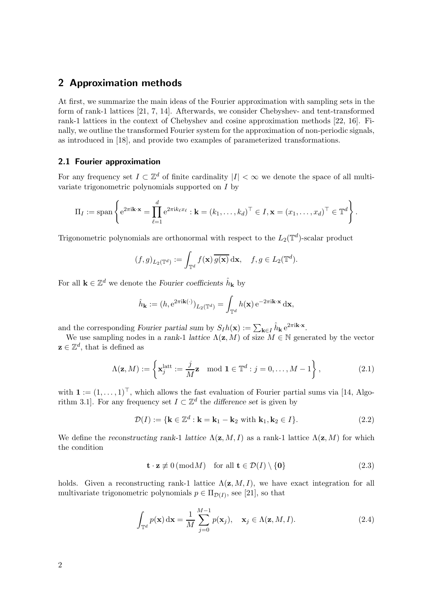## <span id="page-1-0"></span>2 Approximation methods

At first, we summarize the main ideas of the Fourier approximation with sampling sets in the form of rank-1 lattices [\[21, 7, 14\]](#page-15-0). Afterwards, we consider Chebyshev- and tent-transformed rank-1 lattices in the context of Chebyshev and cosine approximation methods [\[22, 16\]](#page-15-0). Finally, we outline the transformed Fourier system for the approximation of non-periodic signals, as introduced in [\[18\]](#page-15-0), and provide two examples of parameterized transformations.

## 2.1 Fourier approximation

For any frequency set  $I \subset \mathbb{Z}^d$  of finite cardinality  $|I| < \infty$  we denote the space of all multivariate trigonometric polynomials supported on I by

$$
\Pi_I := \mathrm{span}\left\{ e^{2\pi i \mathbf{k} \cdot \mathbf{x}} = \prod_{\ell=1}^d e^{2\pi i k_\ell x_\ell} : \mathbf{k} = (k_1, \dots, k_d)^\top \in I, \mathbf{x} = (x_1, \dots, x_d)^\top \in \mathbb{T}^d \right\}.
$$

Trigonometric polynomials are orthonormal with respect to the  $L_2(\mathbb{T}^d)$ -scalar product

$$
(f,g)_{L_2(\mathbb{T}^d)} := \int_{\mathbb{T}^d} f(\mathbf{x}) \, \overline{g(\mathbf{x})} \, \mathrm{d}\mathbf{x}, \quad f, g \in L_2(\mathbb{T}^d).
$$

For all  $\mathbf{k} \in \mathbb{Z}^d$  we denote the Fourier coefficients  $\hat{h}_{\mathbf{k}}$  by

$$
\hat{h}_{\mathbf{k}} := (h, e^{2\pi i \mathbf{k}(\cdot)})_{L_2(\mathbb{T}^d)} = \int_{\mathbb{T}^d} h(\mathbf{x}) e^{-2\pi i \mathbf{k} \cdot \mathbf{x}} d\mathbf{x},
$$

and the corresponding Fourier partial sum by  $S_I h(\mathbf{x}) := \sum_{\mathbf{k} \in I} \hat{h}_{\mathbf{k}} e^{2\pi i \mathbf{k} \cdot \mathbf{x}}$ .

We use sampling nodes in a rank-1 lattice  $\Lambda(\mathbf{z}, M)$  of size  $M \in \mathbb{N}$  generated by the vector  $z \in \mathbb{Z}^d$ , that is defined as

$$
\Lambda(\mathbf{z}, M) := \left\{ \mathbf{x}_j^{\text{latt}} := \frac{j}{M} \mathbf{z} \mod \mathbf{1} \in \mathbb{T}^d : j = 0, \dots, M - 1 \right\},\tag{2.1}
$$

with  $\mathbf{1} := (1, \ldots, 1)^{\top}$ , which allows the fast evaluation of Fourier partial sums via [\[14,](#page-15-0) Algorithm 3.1]. For any frequency set  $I \subset \mathbb{Z}^d$  the difference set is given by

$$
\mathcal{D}(I) := \{ \mathbf{k} \in \mathbb{Z}^d : \mathbf{k} = \mathbf{k}_1 - \mathbf{k}_2 \text{ with } \mathbf{k}_1, \mathbf{k}_2 \in I \}. \tag{2.2}
$$

We define the reconstructing rank-1 lattice  $\Lambda(\mathbf{z}, M, I)$  as a rank-1 lattice  $\Lambda(\mathbf{z}, M)$  for which the condition

$$
\mathbf{t} \cdot \mathbf{z} \not\equiv 0 \, (\bmod M) \quad \text{for all } \mathbf{t} \in \mathcal{D}(I) \setminus \{ \mathbf{0} \} \tag{2.3}
$$

holds. Given a reconstructing rank-1 lattice  $\Lambda(\mathbf{z}, M, I)$ , we have exact integration for all multivariate trigonometric polynomials  $p \in \Pi_{\mathcal{D}(I)}$ , see [\[21\]](#page-15-0), so that

$$
\int_{\mathbb{T}^d} p(\mathbf{x}) \, \mathrm{d}\mathbf{x} = \frac{1}{M} \sum_{j=0}^{M-1} p(\mathbf{x}_j), \quad \mathbf{x}_j \in \Lambda(\mathbf{z}, M, I). \tag{2.4}
$$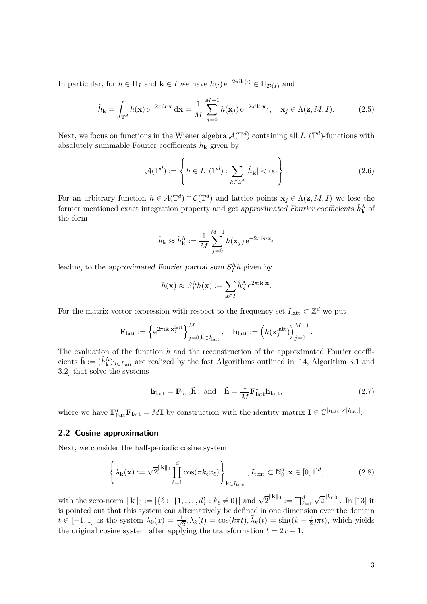<span id="page-2-0"></span>In particular, for  $h \in \Pi_I$  and  $\mathbf{k} \in I$  we have  $h(\cdot) e^{-2\pi i \mathbf{k}(\cdot)} \in \Pi_{\mathcal{D}(I)}$  and

$$
\hat{h}_{\mathbf{k}} = \int_{\mathbb{T}^d} h(\mathbf{x}) e^{-2\pi i \mathbf{k} \cdot \mathbf{x}} d\mathbf{x} = \frac{1}{M} \sum_{j=0}^{M-1} h(\mathbf{x}_j) e^{-2\pi i \mathbf{k} \cdot \mathbf{x}_j}, \quad \mathbf{x}_j \in \Lambda(\mathbf{z}, M, I). \tag{2.5}
$$

Next, we focus on functions in the Wiener algebra  $\mathcal{A}(\mathbb{T}^d)$  containing all  $L_1(\mathbb{T}^d)$ -functions with absolutely summable Fourier coefficients  $\hat{h}_{\mathbf{k}}$  given by

$$
\mathcal{A}(\mathbb{T}^d) := \left\{ h \in L_1(\mathbb{T}^d) : \sum_{k \in \mathbb{Z}^d} |\hat{h}_k| < \infty \right\}.
$$
\n(2.6)

For an arbitrary function  $h \in \mathcal{A}(\mathbb{T}^d) \cap \mathcal{C}(\mathbb{T}^d)$  and lattice points  $\mathbf{x}_j \in \Lambda(\mathbf{z}, M, I)$  we lose the former mentioned exact integration property and get approximated Fourier coefficients  $\hat{h}_{\mathbf{k}}^{\Lambda}$  of the form

$$
\hat{h}_{\mathbf{k}} \approx \hat{h}_{\mathbf{k}}^{\Lambda} := \frac{1}{M} \sum_{j=0}^{M-1} h(\mathbf{x}_j) e^{-2\pi i \mathbf{k} \cdot \mathbf{x}_j}
$$

leading to the approximated Fourier partial sum  $S_I^{\Lambda}h$  given by

$$
h(\mathbf{x}) \approx S_I^{\Lambda} h(\mathbf{x}) := \sum_{\mathbf{k} \in I} \hat{h}_{\mathbf{k}}^{\Lambda} e^{2\pi i \mathbf{k} \cdot \mathbf{x}}
$$

For the matrix-vector-expression with respect to the frequency set  $I_{\text{latt}} \subset \mathbb{Z}^d$  we put

$$
\mathbf{F}_{\text{latt}} := \left\{ e^{2\pi i \mathbf{k} \cdot \mathbf{x}_j^{\text{latt}}} \right\}_{j=0, \mathbf{k} \in I_{\text{latt}}}^{M-1}, \quad \mathbf{h}_{\text{latt}} := \left( h(\mathbf{x}_j^{\text{latt}}) \right)_{j=0}^{M-1}.
$$

The evaluation of the function  $h$  and the reconstruction of the approximated Fourier coefficients  $\hat{\mathbf{h}} := (\hat{h}_{\mathbf{k}}^{\Lambda})_{\mathbf{k} \in I_{\text{latt}}}$  are realized by the fast Algorithms outlined in [\[14,](#page-15-0) Algorithm 3.1 and 3.2] that solve the systems

$$
\mathbf{h}_{\text{latt}} = \mathbf{F}_{\text{latt}} \hat{\mathbf{h}} \quad \text{and} \quad \hat{\mathbf{h}} = \frac{1}{M} \mathbf{F}_{\text{latt}}^* \mathbf{h}_{\text{latt}}, \tag{2.7}
$$

.

where we have  $\mathbf{F}_{\text{latt}}^* \mathbf{F}_{\text{latt}} = M \mathbf{I}$  by construction with the identity matrix  $\mathbf{I} \in \mathbb{C}^{|I_{\text{latt}}| \times |I_{\text{latt}}|}$ .

#### 2.2 Cosine approximation

Next, we consider the half-periodic cosine system

$$
\left\{\lambda_{\mathbf{k}}(\mathbf{x}) := \sqrt{2}^{\|\mathbf{k}\|_0} \prod_{\ell=1}^d \cos(\pi k_\ell x_\ell) \right\}_{\mathbf{k} \in I_{\text{tent}}}, I_{\text{tent}} \subset \mathbb{N}_0^d, \mathbf{x} \in [0, 1]^d,
$$
\n(2.8)

with the zero-norm  $||\mathbf{k}||_0 := |\{\ell \in \{1, ..., d\} : k_{\ell} \neq 0\}|$  and  $\sqrt{2}^{||\mathbf{k}||_0} := \prod_{\ell=1}^d$  $\sqrt{2}^{\|k_\ell\|_0}$ . In [\[13\]](#page-15-0) it is pointed out that this system can alternatively be defined in one dimension over the domain  $t \in [-1,1]$  as the system  $\lambda_0(x) = \frac{1}{\sqrt{2}}$  $\frac{1}{2}$ ,  $\lambda_k(t) = \cos(k\pi t), \tilde{\lambda}_k(t) = \sin((k - \frac{1}{2})$  $(\frac{1}{2})\pi t$ , which yields the original cosine system after applying the transformation  $t = 2x - 1$ .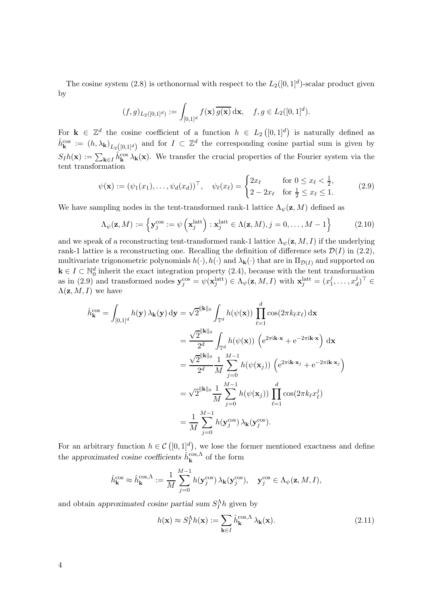<span id="page-3-0"></span>The cosine system [\(2.8\)](#page-2-0) is orthonormal with respect to the  $L_2([0,1]^d)$ -scalar product given by

$$
(f,g)_{L_2([0,1]^d)}:=\int_{[0,1]^d}f(\mathbf{x})\,\overline{g(\mathbf{x})}\,\mathrm{d}\mathbf{x},\quad f,g\in L_2([0,1]^d).
$$

For  $\mathbf{k} \in \mathbb{Z}^d$  the cosine coefficient of a function  $h \in L_2([0,1]^d)$  is naturally defined as  $\hat{h}_{\mathbf{k}}^{\cos} := (h, \lambda_{\mathbf{k}})_{L_2([0,1]^d)}$  and for  $I \subset \mathbb{Z}^d$  the corresponding cosine partial sum is given by  $S_I h(\mathbf{x}) := \sum_{\mathbf{k} \in I} \hat{h}_{\mathbf{k}}^{\text{cos}} \lambda_{\mathbf{k}}(\mathbf{x})$ . We transfer the crucial properties of the Fourier system via the tent transformation

$$
\psi(\mathbf{x}) := (\psi_1(x_1), \dots, \psi_d(x_d))^{\top}, \quad \psi_\ell(x_\ell) = \begin{cases} 2x_\ell & \text{for } 0 \le x_\ell < \frac{1}{2}, \\ 2 - 2x_\ell & \text{for } \frac{1}{2} \le x_\ell \le 1. \end{cases}
$$
(2.9)

We have sampling nodes in the tent-transformed rank-1 lattice  $\Lambda_{\psi}(\mathbf{z}, M)$  defined as

$$
\Lambda_{\psi}(\mathbf{z}, M) := \left\{ \mathbf{y}_{j}^{\cos} := \psi \left( \mathbf{x}_{j}^{\text{latt}} \right) : \mathbf{x}_{j}^{\text{latt}} \in \Lambda(\mathbf{z}, M), j = 0, \dots, M - 1 \right\}
$$
(2.10)

and we speak of a reconstructing tent-transformed rank-1 lattice  $\Lambda_{\psi}(\mathbf{z}, M, I)$  if the underlying rank-1 lattice is a reconstructing one. Recalling the definition of difference sets  $\mathcal{D}(I)$  in [\(2.2\)](#page-1-0), multivariate trigonometric polynomials  $h(\cdot), h(\cdot)$  and  $\lambda_{\mathbf{k}}(\cdot)$  that are in  $\Pi_{\mathcal{D}(I)}$  and supported on  $\mathbf{k} \in I \subset \mathbb{N}_0^d$  inherit the exact integration property [\(2.4\)](#page-1-0), because with the tent transformation as in (2.9) and transformed nodes  $\mathbf{y}_{j}^{\cos} = \psi(\mathbf{x}_{j}^{\text{latt}}) \in \Lambda_{\psi}(\mathbf{z}, M, I)$  with  $\mathbf{x}_{j}^{\text{latt}} = (x_{1}^{j})$  $j_1, \ldots, x_d^j$  $\binom{J}{d}$ <sup> $\vdash$ </sup> $\in$  $\Lambda(\mathbf{z}, M, I)$  we have

$$
\hat{h}_{\mathbf{k}}^{\cos} = \int_{[0,1]^d} h(\mathbf{y}) \,\lambda_{\mathbf{k}}(\mathbf{y}) \,d\mathbf{y} = \sqrt{2}^{\|\mathbf{k}\|_0} \int_{\mathbb{T}^d} h(\psi(\mathbf{x})) \prod_{\ell=1}^d \cos(2\pi k_{\ell} x_{\ell}) \,d\mathbf{x}
$$
\n
$$
= \frac{\sqrt{2}^{\|\mathbf{k}\|_0}}{2^d} \int_{\mathbb{T}^d} h(\psi(\mathbf{x})) \left( e^{2\pi i \mathbf{k} \cdot \mathbf{x}} + e^{-2\pi i \mathbf{k} \cdot \mathbf{x}} \right) \,d\mathbf{x}
$$
\n
$$
= \frac{\sqrt{2}^{\|\mathbf{k}\|_0}}{2^d} \frac{1}{M} \sum_{j=0}^{M-1} h(\psi(\mathbf{x}_j)) \left( e^{2\pi i \mathbf{k} \cdot \mathbf{x}_j} + e^{-2\pi i \mathbf{k} \cdot \mathbf{x}_j} \right)
$$
\n
$$
= \sqrt{2}^{\|\mathbf{k}\|_0} \frac{1}{M} \sum_{j=0}^{M-1} h(\psi(\mathbf{x}_j)) \prod_{\ell=1}^d \cos(2\pi k_{\ell} x_{\ell}^j)
$$
\n
$$
= \frac{1}{M} \sum_{j=0}^{M-1} h(\mathbf{y}_j^{\cos}) \,\lambda_{\mathbf{k}}(\mathbf{y}_j^{\cos}).
$$

For an arbitrary function  $h \in \mathcal{C}([0,1]^d)$ , we lose the former mentioned exactness and define the approximated cosine coefficients  $\hat{h}_{\mathbf{k}}^{\cos,\Lambda}$  of the form

$$
\hat{h}_{\mathbf{k}}^{\cos} \approx \hat{h}_{\mathbf{k}}^{\cos,\Lambda} := \frac{1}{M} \sum_{j=0}^{M-1} h(\mathbf{y}_j^{\cos}) \lambda_{\mathbf{k}}(\mathbf{y}_j^{\cos}), \quad \mathbf{y}_j^{\cos} \in \Lambda_{\psi}(\mathbf{z}, M, I),
$$

and obtain approximated cosine partial sum  $S_I^{\Lambda}h$  given by

$$
h(\mathbf{x}) \approx S_I^{\Lambda} h(\mathbf{x}) := \sum_{\mathbf{k} \in I} \hat{h}_{\mathbf{k}}^{\cos,\Lambda} \lambda_{\mathbf{k}}(\mathbf{x}).
$$
\n(2.11)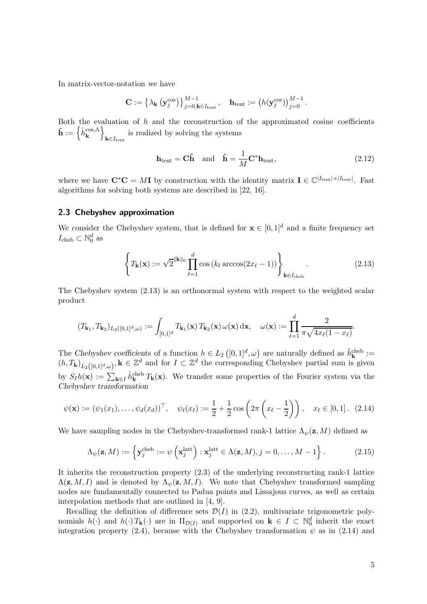<span id="page-4-0"></span>In matrix-vector-notation we have

$$
\mathbf{C} := \left\{ \lambda_{\mathbf{k}} \left( \mathbf{y}_{j}^{\cos} \right) \right\}_{j=0, \mathbf{k} \in I_{\text{tent}}}^{M-1}, \quad \mathbf{h}_{\text{tent}} := \left( h(\mathbf{y}_{j}^{\cos}) \right)_{j=0}^{M-1}.
$$

Both the evaluation of  $h$  and the reconstruction of the approximated cosine coefficients  $\mathbf{\hat{h}} := \left\{ \hat{h}^{\mathrm{cos},\Lambda}_{\mathbf{k}} \right\}$  $\mathbf{k} \in I_{\text{tent}}$ is realized by solving the systems

$$
\mathbf{h}_{\text{tent}} = \mathbf{C}\hat{\mathbf{h}} \quad \text{and} \quad \hat{\mathbf{h}} = \frac{1}{M} \mathbf{C}^* \mathbf{h}_{\text{tent}},\tag{2.12}
$$

where we have  $\mathbf{C}^*\mathbf{C} = M\mathbf{I}$  by construction with the identity matrix  $\mathbf{I} \in \mathbb{C}^{|I_{\text{tent}}|} \times |I_{\text{tent}}|$ . Fast algorithms for solving both systems are described in [\[22, 16\]](#page-15-0).

## 2.3 Chebyshev approximation

We consider the Chebyshev system, that is defined for  $\mathbf{x} \in [0,1]^d$  and a finite frequency set  $I_{\text{cheb}} \subset \mathbb{N}_0^d$  as

$$
\left\{ T_{\mathbf{k}}(\mathbf{x}) := \sqrt{2}^{\|\mathbf{k}\|_0} \prod_{\ell=1}^d \cos\left(k_\ell \arccos(2x_\ell - 1)\right) \right\}_{\mathbf{k} \in I_{\text{cheb}}}.
$$
\n(2.13)

The Chebyshev system (2.13) is an orthonormal system with respect to the weighted scalar product

$$
(T_{\mathbf{k}_1}, T_{\mathbf{k}_2})_{L_2([0,1]^d,\omega)} := \int_{[0,1]^d} T_{\mathbf{k}_1}(\mathbf{x}) T_{\mathbf{k}_2}(\mathbf{x}) \, \omega(\mathbf{x}) \, \mathrm{d}\mathbf{x}, \quad \omega(\mathbf{x}) := \prod_{\ell=1}^d \frac{2}{\pi \sqrt{4x_\ell(1-x_\ell)}}.
$$

The Chebyshev coefficients of a function  $h \in L_2([0,1]^d, \omega)$  are naturally defined as  $\hat{h}_{\mathbf{k}}^{\text{cheb}}$  :=  $(h, T_{k})_{L_2([0,1]^d,\omega)}, k \in \mathbb{Z}^d$  and for  $I \subset \mathbb{Z}^d$  the corresponding Chebyshev partial sum is given by  $S_I h(\mathbf{x}) := \sum_{\mathbf{k} \in I} \hat{h}_{\mathbf{k}}^{\text{cheb}} T_{\mathbf{k}}(\mathbf{x})$ . We transfer some properties of the Fourier system via the Chebyshev transformation

$$
\psi(\mathbf{x}) := (\psi_1(x_1), \dots, \psi_d(x_d))^{\top}, \quad \psi_\ell(x_\ell) := \frac{1}{2} + \frac{1}{2} \cos \left( 2\pi \left( x_\ell - \frac{1}{2} \right) \right), \quad x_\ell \in [0, 1]. \tag{2.14}
$$

We have sampling nodes in the Chebyshev-transformed rank-1 lattice  $\Lambda_{\psi}(\mathbf{z}, M)$  defined as

$$
\Lambda_{\psi}(\mathbf{z}, M) := \left\{ \mathbf{y}_j^{\text{cheb}} := \psi \left( \mathbf{x}_j^{\text{latt}} \right) : \mathbf{x}_j^{\text{latt}} \in \Lambda(\mathbf{z}, M), j = 0, \dots, M - 1 \right\}. \tag{2.15}
$$

It inherits the reconstruction property [\(2.3\)](#page-1-0) of the underlying reconstructing rank-1 lattice  $\Lambda(\mathbf{z}, M, I)$  and is denoted by  $\Lambda_{\psi}(\mathbf{z}, M, I)$ . We note that Chebyshev transformed sampling nodes are fundamentally connected to Padua points and Lissajous curves, as well as certain interpolation methods that are outlined in [\[4,](#page-14-0) [9\]](#page-15-0).

Recalling the definition of difference sets  $\mathcal{D}(I)$  in [\(2.2\)](#page-1-0), multivariate trigonometric polynomials  $h(\cdot)$  and  $h(\cdot) T_{\mathbf{k}}(\cdot)$  are in  $\Pi_{\mathcal{D}(I)}$  and supported on  $\mathbf{k} \in I \subset \mathbb{N}_0^d$  inherit the exact integration property [\(2.4\)](#page-1-0), because with the Chebyshev transformation  $\psi$  as in (2.14) and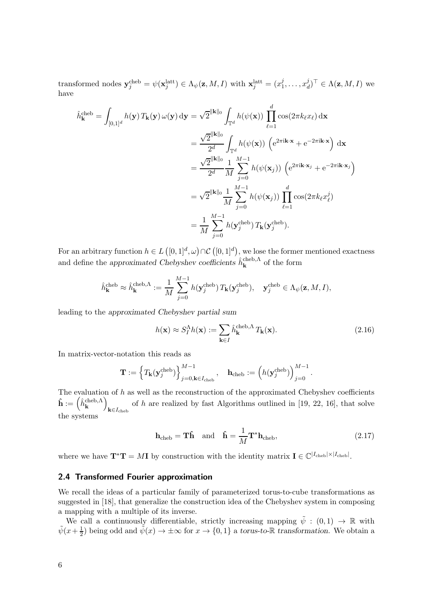<span id="page-5-0"></span>transformed nodes  $\mathbf{y}_j^{\text{cheb}} = \psi(\mathbf{x}_j^{\text{latt}}) \in \Lambda_{\psi}(\mathbf{z}, M, I)$  with  $\mathbf{x}_j^{\text{latt}} = (x_1^j)$  $j_1, \ldots, x_a^j$  $\Lambda_d^{\jmath}$ <sup> $\iota$ </sup>  $\in \Lambda(\mathbf{z},M,I)$  we have

$$
\hat{h}_{\mathbf{k}}^{\text{cheb}} = \int_{[0,1]^d} h(\mathbf{y}) T_{\mathbf{k}}(\mathbf{y}) \omega(\mathbf{y}) \, d\mathbf{y} = \sqrt{2}^{\|\mathbf{k}\|_0} \int_{\mathbb{T}^d} h(\psi(\mathbf{x})) \prod_{\ell=1}^d \cos(2\pi k_\ell x_\ell) \, d\mathbf{x}
$$
\n
$$
= \frac{\sqrt{2}^{\|\mathbf{k}\|_0}}{2^d} \int_{\mathbb{T}^d} h(\psi(\mathbf{x})) \left( e^{2\pi i \mathbf{k} \cdot \mathbf{x}} + e^{-2\pi i \mathbf{k} \cdot \mathbf{x}} \right) \, d\mathbf{x}
$$
\n
$$
= \frac{\sqrt{2}^{\|\mathbf{k}\|_0}}{2^d} \frac{1}{M} \sum_{j=0}^{M-1} h(\psi(\mathbf{x}_j)) \left( e^{2\pi i \mathbf{k} \cdot \mathbf{x}_j} + e^{-2\pi i \mathbf{k} \cdot \mathbf{x}_j} \right)
$$
\n
$$
= \sqrt{2}^{\|\mathbf{k}\|_0} \frac{1}{M} \sum_{j=0}^{M-1} h(\psi(\mathbf{x}_j)) \prod_{\ell=1}^d \cos(2\pi k_\ell x_\ell^j)
$$
\n
$$
= \frac{1}{M} \sum_{j=0}^{M-1} h(\mathbf{y}_j^{\text{cheb}}) T_{\mathbf{k}}(\mathbf{y}_j^{\text{cheb}}).
$$

For an arbitrary function  $h \in L([0,1]^d, \omega) \cap C([0,1]^d)$ , we lose the former mentioned exactness and define the approximated Chebyshev coefficients  $\hat{h}_{\mathbf{k}}^{\text{cheb},\Lambda}$  of the form

$$
\hat{h}_{\mathbf{k}}^{\text{cheb}} \approx \hat{h}_{\mathbf{k}}^{\text{cheb},\Lambda} := \frac{1}{M} \sum_{j=0}^{M-1} h(\mathbf{y}_j^{\text{cheb}}) T_{\mathbf{k}}(\mathbf{y}_j^{\text{cheb}}), \quad \mathbf{y}_j^{\text{cheb}} \in \Lambda_{\psi}(\mathbf{z}, M, I),
$$

leading to the approximated Chebyshev partial sum

$$
h(\mathbf{x}) \approx S_I^{\Lambda} h(\mathbf{x}) := \sum_{\mathbf{k} \in I} \hat{h}_{\mathbf{k}}^{\text{cheb}, \Lambda} T_{\mathbf{k}}(\mathbf{x}).
$$
\n(2.16)

In matrix-vector-notation this reads as

$$
\mathbf{T} := \left\{ T_{\mathbf{k}}(\mathbf{y}_j^{\text{cheb}}) \right\}_{j=0,\mathbf{k} \in I_{\text{cheb}}}^{M-1}, \quad \mathbf{h}_{\text{cheb}} := \left( h(\mathbf{y}_j^{\text{cheb}}) \right)_{j=0}^{M-1}.
$$

The evaluation of  $h$  as well as the reconstruction of the approximated Chebyshev coefficients  $\mathbf{\hat{h}} := \left( \hat{h}^{\text{cheb},\Lambda}_{\mathbf{k}} \right)$  $\mathbf{k} \in I_{\mathrm{cheb}}$ of h are realized by fast Algorithms outlined in  $[19, 22, 16]$ , that solve the systems

$$
\mathbf{h}_{\text{cheb}} = \mathbf{T}\hat{\mathbf{h}} \quad \text{and} \quad \hat{\mathbf{h}} = \frac{1}{M} \mathbf{T}^* \mathbf{h}_{\text{cheb}},\tag{2.17}
$$

where we have  $\mathbf{T}^* \mathbf{T} = M \mathbf{I}$  by construction with the identity matrix  $\mathbf{I} \in \mathbb{C}^{|I_{\text{cheb}}| \times |I_{\text{cheb}}|}$ .

#### 2.4 Transformed Fourier approximation

We recall the ideas of a particular family of parameterized torus-to-cube transformations as suggested in [\[18\]](#page-15-0), that generalize the construction idea of the Chebyshev system in composing a mapping with a multiple of its inverse.

We call a continuously differentiable, strictly increasing mapping  $\tilde{\psi} : (0,1) \to \mathbb{R}$  with  $\tilde{\psi}(x+\frac{1}{2})$  $\frac{1}{2}$ ) being odd and  $\tilde{\psi}(x) \to \pm \infty$  for  $x \to \{0,1\}$  a torus-to-R transformation. We obtain a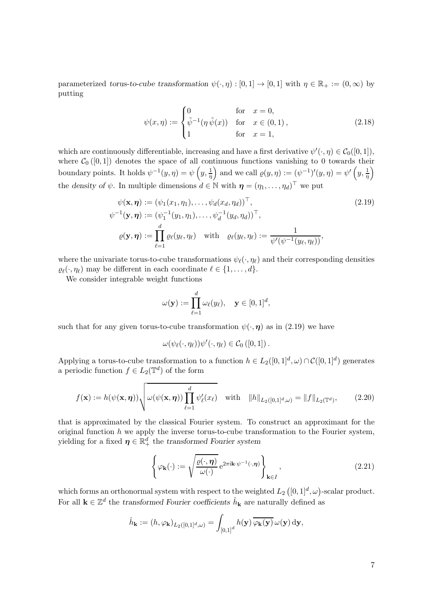<span id="page-6-0"></span>parameterized torus-to-cube transformation  $\psi(\cdot, \eta): [0, 1] \to [0, 1]$  with  $\eta \in \mathbb{R}_+ := (0, \infty)$  by putting

$$
\psi(x,\eta) := \begin{cases}\n0 & \text{for } x = 0, \\
\tilde{\psi}^{-1}(\eta \, \tilde{\psi}(x)) & \text{for } x \in (0,1), \\
1 & \text{for } x = 1,\n\end{cases}
$$
\n(2.18)

which are continuously differentiable, increasing and have a first derivative  $\psi'(\cdot, \eta) \in C_0([0, 1]),$ where  $C_0([0,1])$  denotes the space of all continuous functions vanishing to 0 towards their boundary points. It holds  $\psi^{-1}(y, \eta) = \psi\left(y, \frac{1}{\eta}\right)$  and we call  $\varrho(y, \eta) := (\psi^{-1})'(y, \eta) = \psi'\left(y, \frac{1}{\eta}\right)$ the density of  $\psi$ . In multiple dimensions  $d \in \mathbb{N}$  with  $\boldsymbol{\eta} = (\eta_1, \dots, \eta_d)^\top$  we put

$$
\psi(\mathbf{x}, \boldsymbol{\eta}) := (\psi_1(x_1, \eta_1), \dots, \psi_d(x_d, \eta_d))^{\top},
$$
\n
$$
\psi^{-1}(\mathbf{y}, \boldsymbol{\eta}) := (\psi_1^{-1}(y_1, \eta_1), \dots, \psi_d^{-1}(y_d, \eta_d))^{\top},
$$
\n
$$
\varrho(\mathbf{y}, \boldsymbol{\eta}) := \prod_{\ell=1}^d \varrho_\ell(y_\ell, \eta_\ell) \quad \text{with} \quad \varrho_\ell(y_\ell, \eta_\ell) := \frac{1}{\psi'(\psi^{-1}(y_\ell, \eta_\ell))},
$$
\n(2.19)

where the univariate torus-to-cube transformations  $\psi_{\ell}(\cdot, \eta_{\ell})$  and their corresponding densities  $\varrho_{\ell}(\cdot, \eta_{\ell})$  may be different in each coordinate  $\ell \in \{1, \ldots, d\}.$ 

We consider integrable weight functions

$$
\omega(\mathbf{y}) := \prod_{\ell=1}^d \omega_\ell(y_\ell), \quad \mathbf{y} \in [0,1]^d,
$$

such that for any given torus-to-cube transformation  $\psi(\cdot, \eta)$  as in (2.19) we have

$$
\omega(\psi_{\ell}(\cdot,\eta_{\ell}))\psi'(\cdot,\eta_{\ell})\in\mathcal{C}_0([0,1])\,.
$$

Applying a torus-to-cube transformation to a function  $h \in L_2([0,1]^d, \omega) \cap C([0,1]^d)$  generates a periodic function  $f \in L_2(\mathbb{T}^d)$  of the form

$$
f(\mathbf{x}) := h(\psi(\mathbf{x}, \boldsymbol{\eta})) \sqrt{\omega(\psi(\mathbf{x}, \boldsymbol{\eta})) \prod_{\ell=1}^d \psi_\ell'(x_\ell)} \quad \text{with} \quad \|h\|_{L_2([0,1]^d,\omega)} = \|f\|_{L_2(\mathbb{T}^d)},\tag{2.20}
$$

that is approximated by the classical Fourier system. To construct an approximant for the original function  $h$  we apply the inverse torus-to-cube transformation to the Fourier system, yielding for a fixed  $\boldsymbol{\eta} \in \mathbb{R}_+^d$  the transformed Fourier system

$$
\left\{ \varphi_{\mathbf{k}}(\cdot) := \sqrt{\frac{\varrho(\cdot, \boldsymbol{\eta})}{\omega(\cdot)}} e^{2\pi i \mathbf{k} \cdot \psi^{-1}(\cdot, \boldsymbol{\eta})} \right\}_{\mathbf{k} \in I},
$$
\n(2.21)

which forms an orthonormal system with respect to the weighted  $L_2\left([0,1]^d,\omega\right)$ -scalar product. For all  $\mathbf{k} \in \mathbb{Z}^d$  the transformed Fourier coefficients  $\hat{h}_{\mathbf{k}}$  are naturally defined as

$$
\hat{h}_{\mathbf{k}} := (h, \varphi_{\mathbf{k}})_{L_2([0,1]^d,\omega)} = \int_{[0,1]^d} h(\mathbf{y}) \overline{\varphi_{\mathbf{k}}(\mathbf{y})} \omega(\mathbf{y}) \, d\mathbf{y},
$$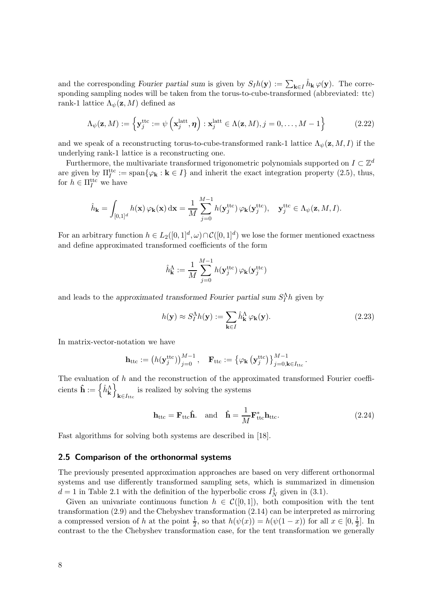<span id="page-7-0"></span>and the corresponding Fourier partial sum is given by  $S_I h(\mathbf{y}) := \sum_{\mathbf{k} \in I} \hat{h}_{\mathbf{k}} \varphi(\mathbf{y})$ . The corresponding sampling nodes will be taken from the torus-to-cube-transformed (abbreviated: ttc) rank-1 lattice  $\Lambda_{\psi}(\mathbf{z}, M)$  defined as

$$
\Lambda_{\psi}(\mathbf{z}, M) := \left\{ \mathbf{y}_{j}^{\mathrm{ttc}} := \psi\left( \mathbf{x}_{j}^{\mathrm{latt}}, \boldsymbol{\eta} \right) : \mathbf{x}_{j}^{\mathrm{latt}} \in \Lambda(\mathbf{z}, M), j = 0, \ldots, M - 1 \right\}
$$
(2.22)

and we speak of a reconstructing torus-to-cube-transformed rank-1 lattice  $\Lambda_{\psi}(\mathbf{z}, M, I)$  if the underlying rank-1 lattice is a reconstructing one.

Furthermore, the multivariate transformed trigonometric polynomials supported on  $I \subset \mathbb{Z}^d$ are given by  $\Pi_I^{\text{ttc}} := \text{span}\{\varphi_{\mathbf{k}} : \mathbf{k} \in I\}$  and inherit the exact integration property [\(2.5\)](#page-2-0), thus, for  $h \in \Pi_I^{\text{ttc}}$  we have

$$
\hat{h}_{\mathbf{k}} = \int_{[0,1]^d} h(\mathbf{x}) \, \varphi_{\mathbf{k}}(\mathbf{x}) \, \mathrm{d}\mathbf{x} = \frac{1}{M} \sum_{j=0}^{M-1} h(\mathbf{y}_j^{\text{ttc}}) \, \varphi_{\mathbf{k}}(\mathbf{y}_j^{\text{ttc}}), \quad \mathbf{y}_j^{\text{ttc}} \in \Lambda_{\psi}(\mathbf{z}, M, I).
$$

For an arbitrary function  $h \in L_2([0,1]^d, \omega) \cap C([0,1]^d)$  we lose the former mentioned exactness and define approximated transformed coefficients of the form

$$
\hat{h}_{\mathbf{k}}^{\Lambda} := \frac{1}{M} \sum_{j=0}^{M-1} h(\mathbf{y}_{j}^{\text{ttc}}) \, \varphi_{\mathbf{k}}(\mathbf{y}_{j}^{\text{ttc}})
$$

and leads to the approximated transformed Fourier partial sum  $S_I^{\Lambda}h$  given by

$$
h(\mathbf{y}) \approx S_I^{\Lambda} h(\mathbf{y}) := \sum_{\mathbf{k} \in I} \hat{h}_{\mathbf{k}}^{\Lambda} \varphi_{\mathbf{k}}(\mathbf{y}).
$$
 (2.23)

.

In matrix-vector-notation we have

$$
\mathbf{h}_{\mathrm{ttc}} := \left(h(\mathbf{y}_{j}^{\mathrm{ttc}})\right)_{j=0}^{M-1}, \quad \mathbf{F}_{\mathrm{ttc}} := \left\{\varphi_{\mathbf{k}}\left(\mathbf{y}_{j}^{\mathrm{ttc}}\right)\right\}_{j=0,\mathbf{k}\in I_{\mathrm{ttc}}}^{M-1}
$$

The evaluation of  $h$  and the reconstruction of the approximated transformed Fourier coeffi- $\text{cients } \hat{\mathbf{h}} := \left\{ \hat{h}^{\Lambda}_{\mathbf{k}} \right\}$  $\mathbf{k} \in I_{\mathrm{ttc}}$ is realized by solving the systems

$$
\mathbf{h}_{\text{ttc}} = \mathbf{F}_{\text{ttc}} \hat{\mathbf{h}}. \quad \text{and} \quad \hat{\mathbf{h}} = \frac{1}{M} \mathbf{F}_{\text{ttc}}^* \mathbf{h}_{\text{ttc}}.
$$
 (2.24)

Fast algorithms for solving both systems are described in [\[18\]](#page-15-0).

#### 2.5 Comparison of the orthonormal systems

The previously presented approximation approaches are based on very different orthonormal systems and use differently transformed sampling sets, which is summarized in dimension  $d = 1$  in Table [2.1](#page-9-0) with the definition of the hyperbolic cross  $I<sub>N</sub><sup>1</sup>$  given in [\(3.1\)](#page-9-0).

Given an univariate continuous function  $h \in \mathcal{C}([0,1])$ , both composition with the tent transformation [\(2.9\)](#page-3-0) and the Chebyshev transformation [\(2.14\)](#page-4-0) can be interpreted as mirroring a compressed version of h at the point  $\frac{1}{2}$ , so that  $h(\psi(x)) = h(\psi(1-x))$  for all  $x \in [0, \frac{1}{2})$  $\frac{1}{2}$ . In contrast to the the Chebyshev transformation case, for the tent transformation we generally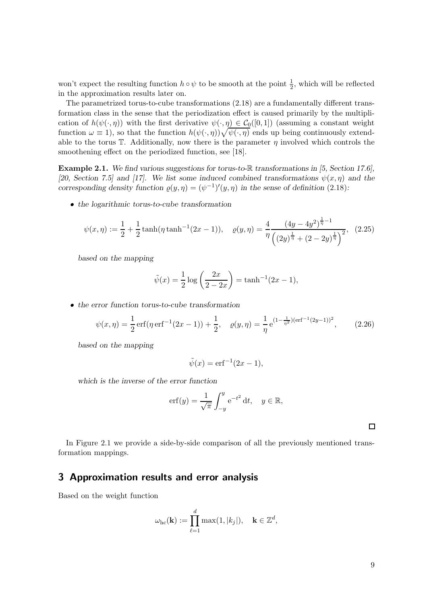<span id="page-8-0"></span>won't expect the resulting function  $h \circ \psi$  to be smooth at the point  $\frac{1}{2}$ , which will be reflected in the approximation results later on.

The parametrized torus-to-cube transformations [\(2.18\)](#page-6-0) are a fundamentally different transformation class in the sense that the periodization effect is caused primarily by the multiplication of  $h(\psi(\cdot, \eta))$  with the first derivative  $\psi(\cdot, \eta) \in C_0([0, 1])$  (assuming a constant weight function  $\omega \equiv 1$ , so that the function  $h(\psi(\cdot, \eta))\sqrt{\psi(\cdot, \eta)}$  ends up being continuously extendable to the torus  $\mathbb T$ . Additionally, now there is the parameter  $\eta$  involved which controls the smoothening effect on the periodized function, see [\[18\]](#page-15-0).

Example 2.1. We find various suggestions for torus-to-R transformations in [\[5,](#page-14-0) Section 17.6], [\[20,](#page-15-0) Section 7.5] and [\[17\]](#page-15-0). We list some induced combined transformations  $\psi(x, \eta)$  and the corresponding density function  $\varrho(y,\eta) = (\psi^{-1})'(y,\eta)$  in the sense of definition [\(2.18\)](#page-6-0):

• the logarithmic torus-to-cube transformation

$$
\psi(x,\eta) := \frac{1}{2} + \frac{1}{2}\tanh(\eta\tanh^{-1}(2x-1)), \quad \varrho(y,\eta) = \frac{4}{\eta} \frac{(4y-4y^2)^{\frac{1}{\eta}-1}}{\left((2y)^{\frac{1}{\eta}}+(2-2y)^{\frac{1}{\eta}}\right)^2}, \quad (2.25)
$$

based on the mapping

$$
\tilde{\psi}(x) = \frac{1}{2} \log \left( \frac{2x}{2 - 2x} \right) = \tanh^{-1}(2x - 1),
$$

• the error function torus-to-cube transformation

$$
\psi(x,\eta) = \frac{1}{2}\operatorname{erf}(\eta \operatorname{erf}^{-1}(2x-1)) + \frac{1}{2}, \quad \varrho(y,\eta) = \frac{1}{\eta}e^{(1-\frac{1}{\eta^2})(\operatorname{erf}^{-1}(2y-1))^2}, \tag{2.26}
$$

based on the mapping

$$
\tilde{\psi}(x) = \operatorname{erf}^{-1}(2x - 1),
$$

which is the inverse of the error function

$$
\operatorname{erf}(y) = \frac{1}{\sqrt{\pi}} \int_{-y}^{y} e^{-t^2} dt, \quad y \in \mathbb{R},
$$

 $\Box$ 

In Figure [2.1](#page-9-0) we provide a side-by-side comparison of all the previously mentioned transformation mappings.

## 3 Approximation results and error analysis

Based on the weight function

$$
\omega_{\rm hc}(\mathbf{k}) := \prod_{\ell=1}^d \max(1, |k_j|), \quad \mathbf{k} \in \mathbb{Z}^d,
$$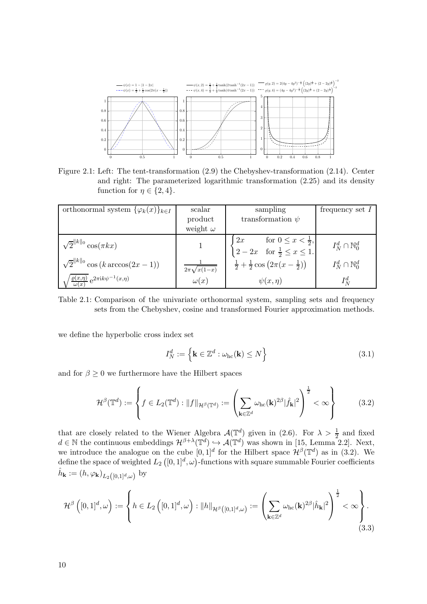<span id="page-9-0"></span>

Figure 2.1: Left: The tent-transformation [\(2.9\)](#page-3-0) the Chebyshev-transformation [\(2.14\)](#page-4-0). Center and right: The parameterized logarithmic transformation [\(2.25\)](#page-8-0) and its density function for  $\eta \in \{2, 4\}.$ 

| orthonormal system $\{\varphi_k(x)\}_{k\in I}$                                        | scalar          | sampling                                                                                                                | frequency set $I$           |
|---------------------------------------------------------------------------------------|-----------------|-------------------------------------------------------------------------------------------------------------------------|-----------------------------|
|                                                                                       | product         | transformation $\psi$                                                                                                   |                             |
|                                                                                       | weight $\omega$ |                                                                                                                         |                             |
| $\sqrt{2}^{  k  _0}\cos(\pi kx)$                                                      |                 | $\begin{cases} 2x & \text{for } 0 \leq x < \frac{1}{2}, \\ 2 - 2x & \text{for } \frac{1}{2} \leq x \leq 1. \end{cases}$ | $I^d_N \cap \mathbb{N}_0^d$ |
| $\sqrt{2}^{  k  _0} \cos(k \arccos(2x-1))$                                            | $\sqrt{x(1-x)}$ | $\frac{1}{2} + \frac{1}{2} \cos (2\pi (x - \frac{1}{2}))$                                                               | $I^d_N \cap \mathbb{N}_0^d$ |
| $\frac{\partial \varrho(x,\eta)}{\partial \varrho(x)} e^{2\pi i k \psi^{-1}(x,\eta)}$ | $\omega(x)$     | $\psi(x,\eta)$                                                                                                          | $I^d_N$                     |

Table 2.1: Comparison of the univariate orthonormal system, sampling sets and frequency sets from the Chebyshev, cosine and transformed Fourier approximation methods.

we define the hyperbolic cross index set

$$
I_N^d := \left\{ \mathbf{k} \in \mathbb{Z}^d : \omega_{\rm hc}(\mathbf{k}) \le N \right\} \tag{3.1}
$$

and for  $\beta \geq 0$  we furthermore have the Hilbert spaces

$$
\mathcal{H}^{\beta}(\mathbb{T}^d) := \left\{ f \in L_2(\mathbb{T}^d) : \|f\|_{\mathcal{H}^{\beta}(\mathbb{T}^d)} := \left( \sum_{\mathbf{k} \in \mathbb{Z}^d} \omega_{\rm hc}(\mathbf{k})^{2\beta} |\hat{f}_{\mathbf{k}}|^2 \right)^{\frac{1}{2}} < \infty \right\}
$$
(3.2)

that are closely related to the Wiener Algebra  $\mathcal{A}(\mathbb{T}^d)$  given in [\(2.6\)](#page-2-0). For  $\lambda > \frac{1}{2}$  and fixed  $d \in \mathbb{N}$  the continuous embeddings  $\mathcal{H}^{\beta+\lambda}(\mathbb{T}^d) \hookrightarrow \mathcal{A}(\mathbb{T}^d)$  was shown in [\[15,](#page-15-0) Lemma 2.2]. Next, we introduce the analogue on the cube  $[0,1]^d$  for the Hilbert space  $\mathcal{H}^{\beta}(\mathbb{T}^d)$  as in (3.2). We define the space of weighted  $L_{2}\left([0,1]^{d},\omega\right)$ -functions with square summable Fourier coefficients  $\hat{h}_{\mathbf{k}} := (h, \varphi_{\mathbf{k}})_{L_2([0,1]^d,\omega)}$  by

$$
\mathcal{H}^{\beta}\left([0,1]^{d},\omega\right) := \left\{ h \in L_{2}\left([0,1]^{d},\omega\right) : \|h\|_{\mathcal{H}^{\beta}\left([0,1]^{d},\omega\right)} := \left(\sum_{\mathbf{k} \in \mathbb{Z}^{d}} \omega_{\mathrm{hc}}(\mathbf{k})^{2\beta}|\hat{h}_{\mathbf{k}}|^{2}\right)^{\frac{1}{2}} < \infty\right\}.
$$
\n(3.3)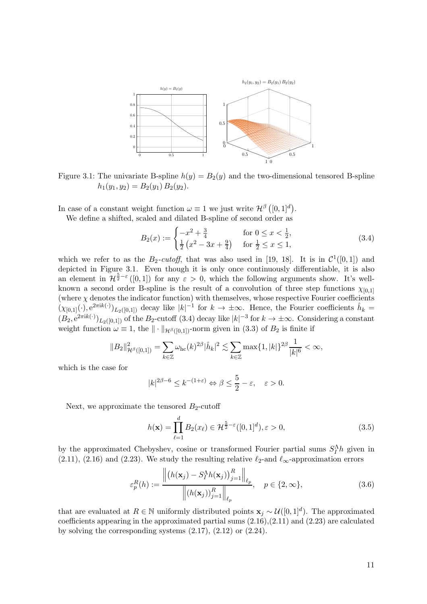<span id="page-10-0"></span>

Figure 3.1: The univariate B-spline  $h(y) = B_2(y)$  and the two-dimensional tensored B-spline  $h_1(y_1, y_2) = B_2(y_1) B_2(y_2).$ 

In case of a constant weight function  $\omega \equiv 1$  we just write  $\mathcal{H}^{\beta}([0,1]^{d})$ .

We define a shifted, scaled and dilated B-spline of second order as

$$
B_2(x) := \begin{cases} -x^2 + \frac{3}{4} & \text{for } 0 \le x < \frac{1}{2}, \\ \frac{1}{2} \left( x^2 - 3x + \frac{9}{4} \right) & \text{for } \frac{1}{2} \le x \le 1, \end{cases}
$$
(3.4)

which we refer to as the  $B_2$ -cutoff, that was also used in [\[19, 18\]](#page-15-0). It is in  $\mathcal{C}^1([0,1])$  and depicted in Figure 3.1. Even though it is only once continuously differentiable, it is also an element in  $\mathcal{H}^{\frac{5}{2}-\varepsilon}([0,1])$  for any  $\varepsilon > 0$ , which the following arguments show. It's wellknown a second order B-spline is the result of a convolution of three step functions  $\chi_{[0,1]}$ (where  $\chi$  denotes the indicator function) with themselves, whose respective Fourier coefficients  $(\chi_{[0,1]}(\cdot), e^{2\pi i k(\cdot)})_{L_2([0,1])}$  decay like  $|k|^{-1}$  for  $k \to \pm \infty$ . Hence, the Fourier coefficients  $\hat{h}_k =$  $(B_2, e^{2\pi i k(\cdot)})_{L_2([0,1])}$  of the  $B_2$ -cutoff  $(3.4)$  decay like  $|k|^{-3}$  for  $k \to \pm \infty$ . Considering a constant weight function  $\omega \equiv 1$ , the  $\|\cdot\|_{\mathcal{H}^{\beta}([0,1])}$ -norm given in [\(3.3\)](#page-9-0) of  $B_2$  is finite if

$$
||B_2||_{\mathcal{H}^{\beta}([0,1])}^2 = \sum_{k \in \mathbb{Z}} \omega_{\rm hc}(k)^{2\beta} |\hat{h}_k|^2 \lesssim \sum_{k \in \mathbb{Z}} \max\{1, |k|\}^{2\beta} \frac{1}{|k|^6} < \infty,
$$

which is the case for

$$
|k|^{2\beta-6} \le k^{-(1+\varepsilon)} \Leftrightarrow \beta \le \frac{5}{2} - \varepsilon, \quad \varepsilon > 0.
$$

Next, we approximate the tensored  $B_2$ -cutoff

$$
h(\mathbf{x}) = \prod_{\ell=1}^{d} B_2(x_{\ell}) \in \mathcal{H}^{\frac{5}{2}-\varepsilon}([0,1]^d), \varepsilon > 0,
$$
\n(3.5)

by the approximated Chebyshev, cosine or transformed Fourier partial sums  $S_I^{\Lambda}h$  given in [\(2.11\)](#page-3-0), [\(2.16\)](#page-5-0) and [\(2.23\)](#page-7-0). We study the resulting relative  $\ell_2$ -and  $\ell_{\infty}$ -approximation errors

$$
\varepsilon_p^R(h) := \frac{\left\| \left( h(\mathbf{x}_j) - S_I^{\Lambda} h(\mathbf{x}_j) \right)_{j=1}^R \right\|_{\ell_p}}{\left\| \left( h(\mathbf{x}_j) \right)_{j=1}^R \right\|_{\ell_p}}, \quad p \in \{2, \infty\},\tag{3.6}
$$

that are evaluated at  $R \in \mathbb{N}$  uniformly distributed points  $\mathbf{x}_j \sim \mathcal{U}([0,1]^d)$ . The approximated coefficients appearing in the approximated partial sums  $(2.16)$ , $(2.11)$  and  $(2.23)$  are calculated by solving the corresponding systems  $(2.17)$ ,  $(2.12)$  or  $(2.24)$ .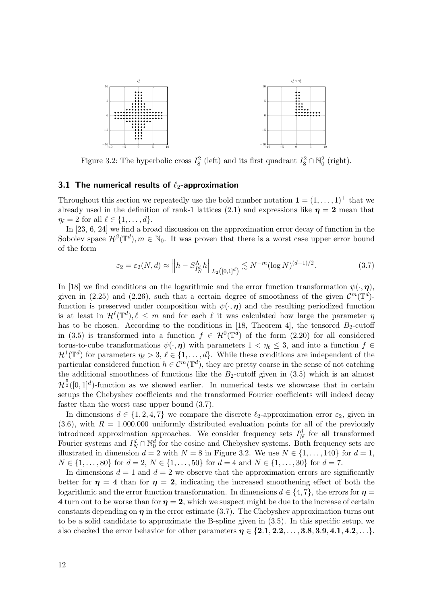

Figure 3.2: The hyperbolic cross  $I_8^2$  (left) and its first quadrant  $I_8^2 \cap \mathbb{N}_0^2$  (right).

#### 3.1 The numerical results of  $\ell_2$ -approximation

Throughout this section we repeatedly use the bold number notation  $\mathbf{1} = (1, \ldots, 1)^\top$  that we already used in the definition of rank-1 lattices [\(2.1\)](#page-1-0) and expressions like  $\eta = 2$  mean that  $\eta_{\ell} = 2$  for all  $\ell \in \{1, \ldots, d\}.$ 

In [\[23,](#page-15-0) [6,](#page-14-0) [24\]](#page-15-0) we find a broad discussion on the approximation error decay of function in the Sobolev space  $\mathcal{H}^{\beta}(\mathbb{T}^d), m \in \mathbb{N}_0$ . It was proven that there is a worst case upper error bound of the form

$$
\varepsilon_2 = \varepsilon_2(N, d) \approx \left\| h - S_{I_N^d}^{\Lambda} h \right\|_{L_2([0,1]^d)} \lesssim N^{-m} (\log N)^{(d-1)/2}.
$$
 (3.7)

In [\[18\]](#page-15-0) we find conditions on the logarithmic and the error function transformation  $\psi(\cdot, \eta)$ , given in [\(2.25\)](#page-8-0) and [\(2.26\)](#page-8-0), such that a certain degree of smoothness of the given  $\mathcal{C}^m(\mathbb{T}^d)$ function is preserved under composition with  $\psi(\cdot, \eta)$  and the resulting periodized function is at least in  $\mathcal{H}^{\ell}(\mathbb{T}^d), \ell \leq m$  and for each  $\ell$  it was calculated how large the parameter  $\eta$ has to be chosen. According to the conditions in [\[18,](#page-15-0) Theorem 4], the tensored  $B_2$ -cutoff in [\(3.5\)](#page-10-0) is transformed into a function  $f \in \mathcal{H}^0(\mathbb{T}^d)$  of the form [\(2.20\)](#page-6-0) for all considered torus-to-cube transformations  $\psi(\cdot, \eta)$  with parameters  $1 < \eta_\ell \leq 3$ , and into a function  $f \in$  $\mathcal{H}^1(\mathbb{T}^d)$  for parameters  $\eta_\ell > 3$ ,  $\ell \in \{1, \ldots, d\}$ . While these conditions are independent of the particular considered function  $h \in \mathcal{C}^m(\mathbb{T}^d)$ , they are pretty coarse in the sense of not catching the additional smoothness of functions like the  $B_2$ -cutoff given in  $(3.5)$  which is an almost  $\mu$  $\frac{5}{2}([0,1]^d)$ -function as we showed earlier. In numerical tests we showcase that in certain setups the Chebyshev coefficients and the transformed Fourier coefficients will indeed decay faster than the worst case upper bound (3.7).

In dimensions  $d \in \{1, 2, 4, 7\}$  we compare the discrete  $\ell_2$ -approximation error  $\varepsilon_2$ , given in  $(3.6)$ , with  $R = 1.000.000$  uniformly distributed evaluation points for all of the previously introduced approximation approaches. We consider frequency sets  $I_N^d$  for all transformed Fourier systems and  $I_N^d \cap \mathbb{N}_0^d$  for the cosine and Chebyshev systems. Both frequency sets are illustrated in dimension  $d = 2$  with  $N = 8$  in Figure 3.2. We use  $N \in \{1, \ldots, 140\}$  for  $d = 1$ ,  $N \in \{1, \ldots, 80\}$  for  $d = 2, N \in \{1, \ldots, 50\}$  for  $d = 4$  and  $N \in \{1, \ldots, 30\}$  for  $d = 7$ .

In dimensions  $d = 1$  and  $d = 2$  we observe that the approximation errors are significantly better for  $\eta = 4$  than for  $\eta = 2$ , indicating the increased smoothening effect of both the logarithmic and the error function transformation. In dimensions  $d \in \{4, 7\}$ , the errors for  $\eta =$ 4 turn out to be worse than for  $\eta = 2$ , which we suspect might be due to the increase of certain constants depending on  $\eta$  in the error estimate (3.7). The Chebyshev approximation turns out to be a solid candidate to approximate the B-spline given in [\(3.5\)](#page-10-0). In this specific setup, we also checked the error behavior for other parameters  $\eta \in \{2.1, 2.2, \ldots, 3.8, 3.9, 4.1, 4.2, \ldots\}$ .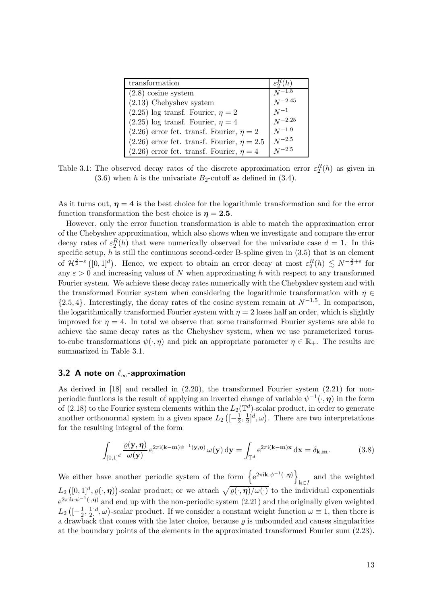| transformation                                    | $\varepsilon_2^R(h)$ |
|---------------------------------------------------|----------------------|
| $(2.8)$ cosine system                             | $N^{-1.5}$           |
| $(2.13)$ Chebyshev system                         | $N^{-2.45}$          |
| $(2.25)$ log transf. Fourier, $\eta = 2$          | $N^{-1}$             |
| $(2.25)$ log transf. Fourier, $\eta = 4$          | $N^{-2.25}$          |
| $(2.26)$ error fct. transf. Fourier, $\eta = 2$   | $N^{-1.9}$           |
| $(2.26)$ error fct. transf. Fourier, $\eta = 2.5$ | $N^{-2.5}$           |
| $(2.26)$ error fct. transf. Fourier, $\eta = 4$   | $N^{-2.5}$           |

Table 3.1: The observed decay rates of the discrete approximation error  $\varepsilon_2^R(h)$  as given in  $(3.6)$  when h is the univariate  $B_2$ -cutoff as defined in  $(3.4)$ .

As it turns out,  $\eta = 4$  is the best choice for the logarithmic transformation and for the error function transformation the best choice is  $\eta = 2.5$ .

However, only the error function transformation is able to match the approximation error of the Chebyshev approximation, which also shows when we investigate and compare the error decay rates of  $\varepsilon_2^R(h)$  that were numerically observed for the univariate case  $d=1$ . In this specific setup,  $h$  is still the continuous second-order B-spline given in  $(3.5)$  that is an element of  $\mathcal{H}^{\frac{5}{2}-\varepsilon}([0,1]^d)$ . Hence, we expect to obtain an error decay at most  $\varepsilon_2^R(h) \lesssim N^{-\frac{5}{2}+\varepsilon}$  for any  $\varepsilon > 0$  and increasing values of N when approximating h with respect to any transformed Fourier system. We achieve these decay rates numerically with the Chebyshev system and with the transformed Fourier system when considering the logarithmic transformation with  $\eta \in$  $\{2.5, 4\}$ . Interestingly, the decay rates of the cosine system remain at  $N^{-1.5}$ . In comparison, the logarithmically transformed Fourier system with  $\eta = 2$  loses half an order, which is slightly improved for  $\eta = 4$ . In total we observe that some transformed Fourier systems are able to achieve the same decay rates as the Chebyshev system, when we use parameterized torusto-cube transformations  $\psi(\cdot, \eta)$  and pick an appropriate parameter  $\eta \in \mathbb{R}_+$ . The results are summarized in Table 3.1.

## 3.2 A note on  $\ell_{\infty}$ -approximation

As derived in [\[18\]](#page-15-0) and recalled in [\(2.20\)](#page-6-0), the transformed Fourier system [\(2.21\)](#page-6-0) for nonperiodic funtions is the result of applying an inverted change of variable  $\psi^{-1}(\cdot, \eta)$  in the form of [\(2.18\)](#page-6-0) to the Fourier system elements within the  $L_2(\mathbb{T}^d)$ -scalar product, in order to generate another orthonormal system in a given space  $L_2 \left( \left[ -\frac{1}{2} \right]$  $\frac{1}{2}, \frac{1}{2}$  $\frac{1}{2}$ ,  $(\omega)$ . There are two interpretations for the resulting integral of the form

$$
\int_{[0,1]^d} \frac{\varrho(\mathbf{y}, \boldsymbol{\eta})}{\omega(\mathbf{y})} e^{2\pi i (\mathbf{k} - \mathbf{m})\psi^{-1}(\mathbf{y}, \boldsymbol{\eta})} \omega(\mathbf{y}) d\mathbf{y} = \int_{\mathbb{T}^d} e^{2\pi i (\mathbf{k} - \mathbf{m})\mathbf{x}} d\mathbf{x} = \delta_{\mathbf{k}, \mathbf{m}}.
$$
(3.8)

We either have another periodic system of the form  $\{e^{2\pi i \mathbf{k}\cdot\psi^{-1}(\cdot,\eta)}\}$  $k \in I$ and the weighted  $L_2([0,1]^d, \varrho(\cdot,\eta))$ -scalar product; or we attach  $\sqrt{\varrho(\cdot,\eta)/\omega(\cdot)}$  to the individual exponentials  $e^{2\pi i \mathbf{k}\cdot \psi^{-1}(\cdot,\boldsymbol{\eta})}$  and end up with the non-periodic system [\(2.21\)](#page-6-0) and the originally given weighted  $L_2\left([-\frac{1}{2}$  $\frac{1}{2}, \frac{1}{2}$  $\frac{1}{2}$ ,  $\omega$ )-scalar product. If we consider a constant weight function  $\omega \equiv 1$ , then there is a drawback that comes with the later choice, because  $\rho$  is unbounded and causes singularities at the boundary points of the elements in the approximated transformed Fourier sum [\(2.23\)](#page-7-0).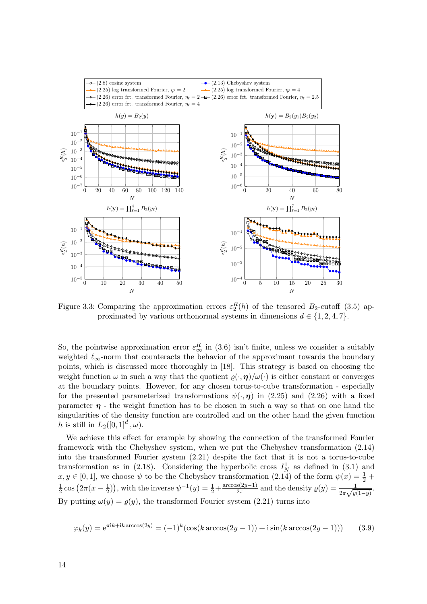

Figure 3.3: Comparing the approximation errors  $\varepsilon_2^R(h)$  of the tensored  $B_2$ -cutoff [\(3.5\)](#page-10-0) approximated by various orthonormal systems in dimensions  $d \in \{1, 2, 4, 7\}.$ 

So, the pointwise approximation error  $\varepsilon_{\infty}^{R}$  in [\(3.6\)](#page-10-0) isn't finite, unless we consider a suitably weighted  $\ell_{\infty}$ -norm that counteracts the behavior of the approximant towards the boundary points, which is discussed more thoroughly in [\[18\]](#page-15-0). This strategy is based on choosing the weight function  $\omega$  in such a way that the quotient  $\rho(\cdot, \eta)/\omega(\cdot)$  is either constant or converges at the boundary points. However, for any chosen torus-to-cube transformation - especially for the presented parameterized transformations  $\psi(\cdot, \eta)$  in [\(2.25\)](#page-8-0) and [\(2.26\)](#page-8-0) with a fixed parameter  $\eta$  - the weight function has to be chosen in such a way so that on one hand the singularities of the density function are controlled and on the other hand the given function h is still in  $L_2([0,1]^d,\omega)$ .

We achieve this effect for example by showing the connection of the transformed Fourier framework with the Chebyshev system, when we put the Chebyshev transformation [\(2.14\)](#page-4-0) into the transformed Fourier system [\(2.21\)](#page-6-0) despite the fact that it is not a torus-to-cube transformation as in [\(2.18\)](#page-6-0). Considering the hyperbolic cross  $I_N^1$  as defined in [\(3.1\)](#page-9-0) and  $x, y \in [0, 1]$ , we choose  $\psi$  to be the Chebyshev transformation [\(2.14\)](#page-4-0) of the form  $\psi(x) = \frac{1}{2} +$ 1  $\frac{1}{2}\cos(2\pi(x-\frac{1}{2}))$ , with the inverse  $\psi^{-1}(y) = \frac{1}{2} + \frac{\arccos(2y-1)}{2\pi}$  and the density  $\varrho(y) = \frac{1}{2\pi\sqrt{y(1-y)}}$ . By putting  $\omega(y) = \varrho(y)$ , the transformed Fourier system [\(2.21\)](#page-6-0) turns into

$$
\varphi_k(y) = e^{\pi i k + i k \arccos(2y)} = (-1)^k (\cos(k \arccos(2y - 1)) + i \sin(k \arccos(2y - 1))) \tag{3.9}
$$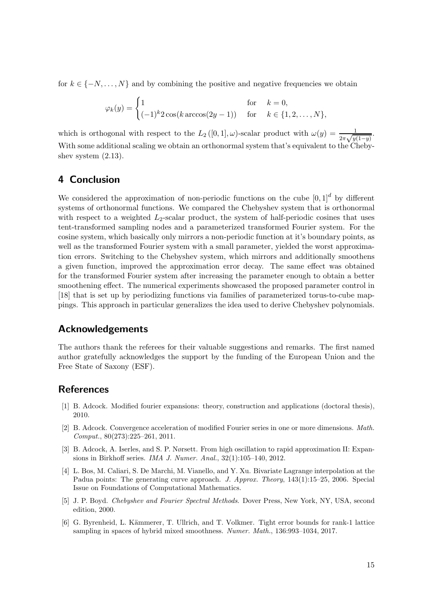<span id="page-14-0"></span>for  $k \in \{-N, \ldots, N\}$  and by combining the positive and negative frequencies we obtain

$$
\varphi_k(y) = \begin{cases} 1 & \text{for } k = 0, \\ (-1)^k 2 \cos(k \arccos(2y - 1)) & \text{for } k \in \{1, 2, \dots, N\}, \end{cases}
$$

which is orthogonal with respect to the  $L_2([0,1],\omega)$ -scalar product with  $\omega(y) = \frac{1}{2\pi\sqrt{y(1-y)}}$ . With some additional scaling we obtain an orthonormal system that's equivalent to the Chebyshev system  $(2.13)$ .

# 4 Conclusion

We considered the approximation of non-periodic functions on the cube  $[0,1]^d$  by different systems of orthonormal functions. We compared the Chebyshev system that is orthonormal with respect to a weighted  $L_2$ -scalar product, the system of half-periodic cosines that uses tent-transformed sampling nodes and a parameterized transformed Fourier system. For the cosine system, which basically only mirrors a non-periodic function at it's boundary points, as well as the transformed Fourier system with a small parameter, yielded the worst approximation errors. Switching to the Chebyshev system, which mirrors and additionally smoothens a given function, improved the approximation error decay. The same effect was obtained for the transformed Fourier system after increasing the parameter enough to obtain a better smoothening effect. The numerical experiments showcased the proposed parameter control in [\[18\]](#page-15-0) that is set up by periodizing functions via families of parameterized torus-to-cube mappings. This approach in particular generalizes the idea used to derive Chebyshev polynomials.

# Acknowledgements

The authors thank the referees for their valuable suggestions and remarks. The first named author gratefully acknowledges the support by the funding of the European Union and the Free State of Saxony (ESF).

# References

- [1] B. Adcock. Modified fourier expansions: theory, construction and applications (doctoral thesis), 2010.
- [2] B. Adcock. Convergence acceleration of modified Fourier series in one or more dimensions. Math. Comput., 80(273):225–261, 2011.
- [3] B. Adcock, A. Iserles, and S. P. Nørsett. From high oscillation to rapid approximation II: Expansions in Birkhoff series. IMA J. Numer. Anal., 32(1):105–140, 2012.
- [4] L. Bos, M. Caliari, S. De Marchi, M. Vianello, and Y. Xu. Bivariate Lagrange interpolation at the Padua points: The generating curve approach. J. Approx. Theory, 143(1):15–25, 2006. Special Issue on Foundations of Computational Mathematics.
- [5] J. P. Boyd. Chebyshev and Fourier Spectral Methods. Dover Press, New York, NY, USA, second edition, 2000.
- [6] G. Byrenheid, L. Kämmerer, T. Ullrich, and T. Volkmer. Tight error bounds for rank-1 lattice sampling in spaces of hybrid mixed smoothness. Numer. Math., 136:993–1034, 2017.